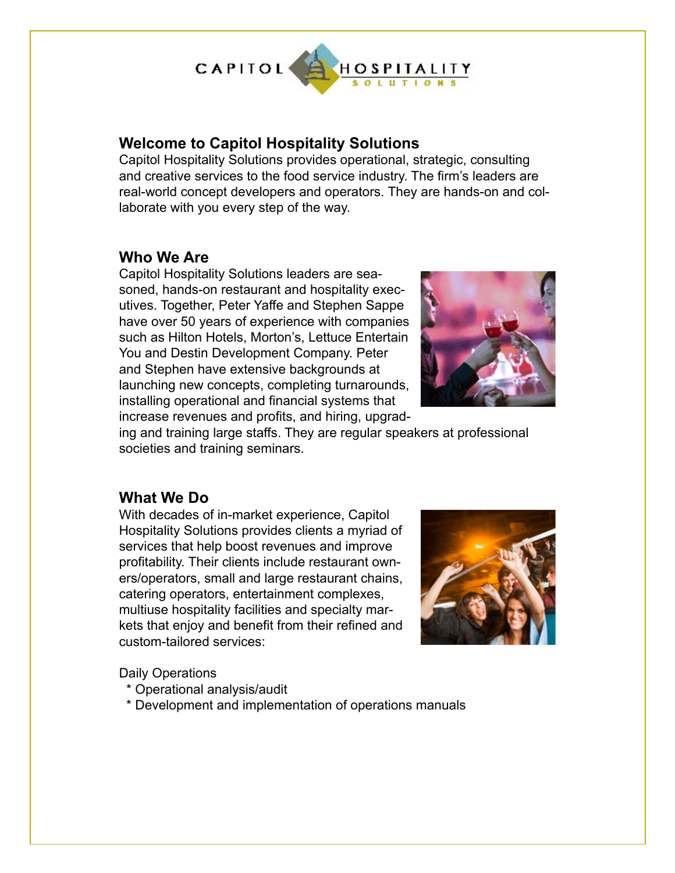

## **Welcome to Capitol Hospitality Solutions**

Capitol Hospitality Solutions provides operational, strategic, consulting and creative services to the food service industry. The firm's leaders are real-world concept developers and operators. They are hands-on and collaborate with you every step of the way.

### **Who We Are**

Capitol Hospitality Solutions leaders are seasoned, hands-on restaurant and hospitality executives. Together, Peter Yaffe and Stephen Sappe have over 50 years of experience with companies such as Hilton Hotels, Morton's, Lettuce Entertain You and Destin Development Company. Peter and Stephen have extensive backgrounds at launching new concepts, completing turnarounds, installing operational and financial systems that increase revenues and profits, and hiring, upgrad-



ing and training large staffs. They are regular speakers at professional societies and training seminars.

## **What We Do**

With decades of in-market experience, Capitol Hospitality Solutions provides clients a myriad of services that help boost revenues and improve profitability. Their clients include restaurant owners/operators, small and large restaurant chains, catering operators, entertainment complexes, multiuse hospitality facilities and specialty markets that enjoy and benefit from their refined and custom-tailored services:



Daily Operations

- \* Operational analysis/audit
- \* Development and implementation of operations manuals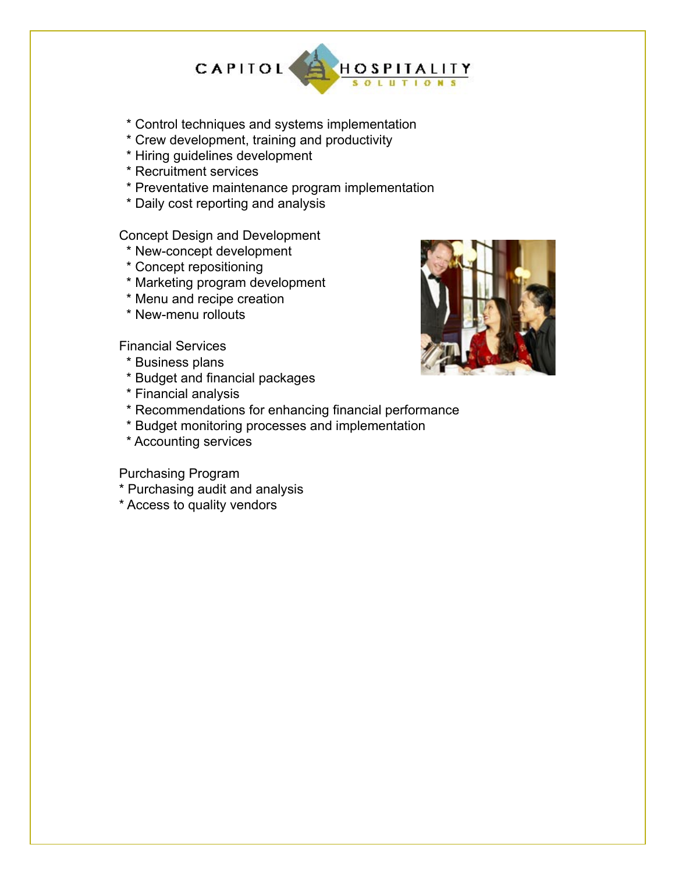

- \* Control techniques and systems implementation
- \* Crew development, training and productivity
- \* Hiring guidelines development
- \* Recruitment services
- \* Preventative maintenance program implementation
- \* Daily cost reporting and analysis

Concept Design and Development

- \* New-concept development
- \* Concept repositioning
- \* Marketing program development
- \* Menu and recipe creation
- \* New-menu rollouts

Financial Services

- \* Business plans
- \* Budget and financial packages
- \* Financial analysis
- \* Recommendations for enhancing financial performance
- \* Budget monitoring processes and implementation
- \* Accounting services

Purchasing Program

- \* Purchasing audit and analysis
- \* Access to quality vendors

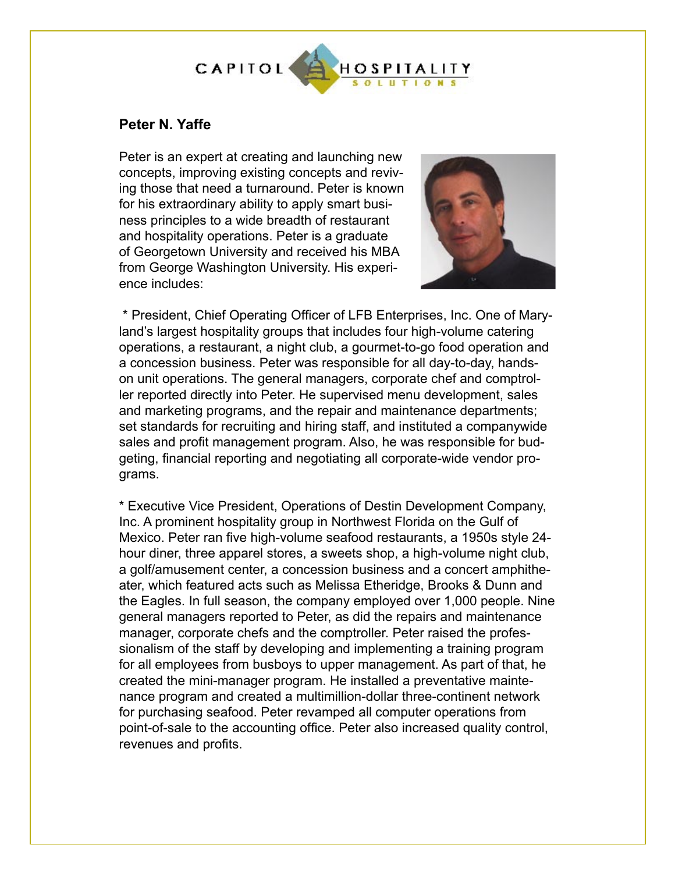

#### **Peter N. Yaffe**

Peter is an expert at creating and launching new concepts, improving existing concepts and reviving those that need a turnaround. Peter is known for his extraordinary ability to apply smart business principles to a wide breadth of restaurant and hospitality operations. Peter is a graduate of Georgetown University and received his MBA from George Washington University. His experience includes:



 \* President, Chief Operating Officer of LFB Enterprises, Inc. One of Maryland's largest hospitality groups that includes four high-volume catering operations, a restaurant, a night club, a gourmet-to-go food operation and a concession business. Peter was responsible for all day-to-day, handson unit operations. The general managers, corporate chef and comptroller reported directly into Peter. He supervised menu development, sales and marketing programs, and the repair and maintenance departments; set standards for recruiting and hiring staff, and instituted a companywide sales and profit management program. Also, he was responsible for budgeting, financial reporting and negotiating all corporate-wide vendor programs.

\* Executive Vice President, Operations of Destin Development Company, Inc. A prominent hospitality group in Northwest Florida on the Gulf of Mexico. Peter ran five high-volume seafood restaurants, a 1950s style 24 hour diner, three apparel stores, a sweets shop, a high-volume night club, a golf/amusement center, a concession business and a concert amphitheater, which featured acts such as Melissa Etheridge, Brooks & Dunn and the Eagles. In full season, the company employed over 1,000 people. Nine general managers reported to Peter, as did the repairs and maintenance manager, corporate chefs and the comptroller. Peter raised the professionalism of the staff by developing and implementing a training program for all employees from busboys to upper management. As part of that, he created the mini-manager program. He installed a preventative maintenance program and created a multimillion-dollar three-continent network for purchasing seafood. Peter revamped all computer operations from point-of-sale to the accounting office. Peter also increased quality control, revenues and profits.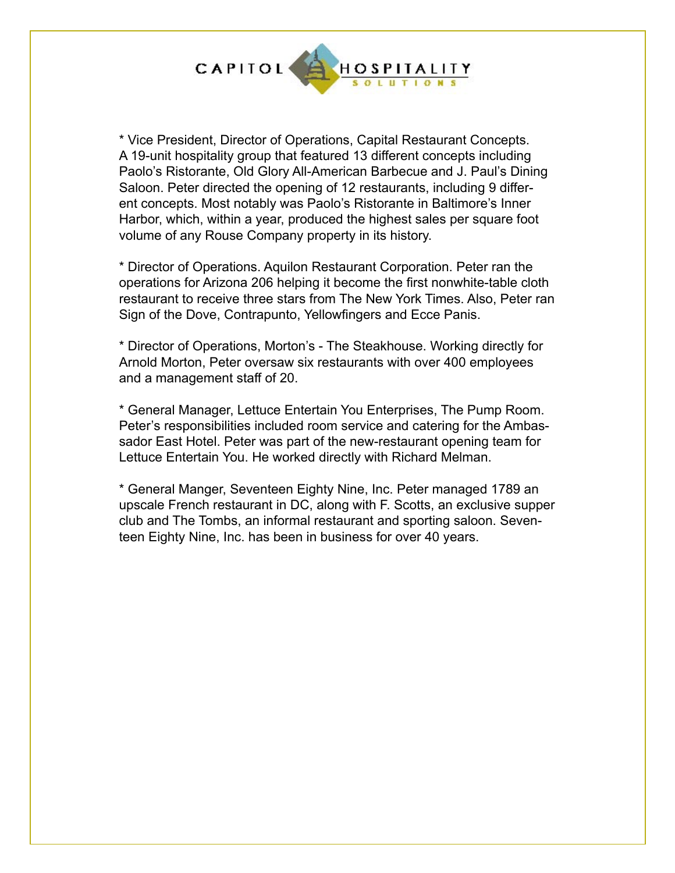

\* Vice President, Director of Operations, Capital Restaurant Concepts. A 19-unit hospitality group that featured 13 different concepts including Paolo's Ristorante, Old Glory All-American Barbecue and J. Paul's Dining Saloon. Peter directed the opening of 12 restaurants, including 9 different concepts. Most notably was Paolo's Ristorante in Baltimore's Inner Harbor, which, within a year, produced the highest sales per square foot volume of any Rouse Company property in its history.

\* Director of Operations. Aquilon Restaurant Corporation. Peter ran the operations for Arizona 206 helping it become the first nonwhite-table cloth restaurant to receive three stars from The New York Times. Also, Peter ran Sign of the Dove, Contrapunto, Yellowfingers and Ecce Panis.

\* Director of Operations, Morton's - The Steakhouse. Working directly for Arnold Morton, Peter oversaw six restaurants with over 400 employees and a management staff of 20.

\* General Manager, Lettuce Entertain You Enterprises, The Pump Room. Peter's responsibilities included room service and catering for the Ambassador East Hotel. Peter was part of the new-restaurant opening team for Lettuce Entertain You. He worked directly with Richard Melman.

\* General Manger, Seventeen Eighty Nine, Inc. Peter managed 1789 an upscale French restaurant in DC, along with F. Scotts, an exclusive supper club and The Tombs, an informal restaurant and sporting saloon. Seventeen Eighty Nine, Inc. has been in business for over 40 years.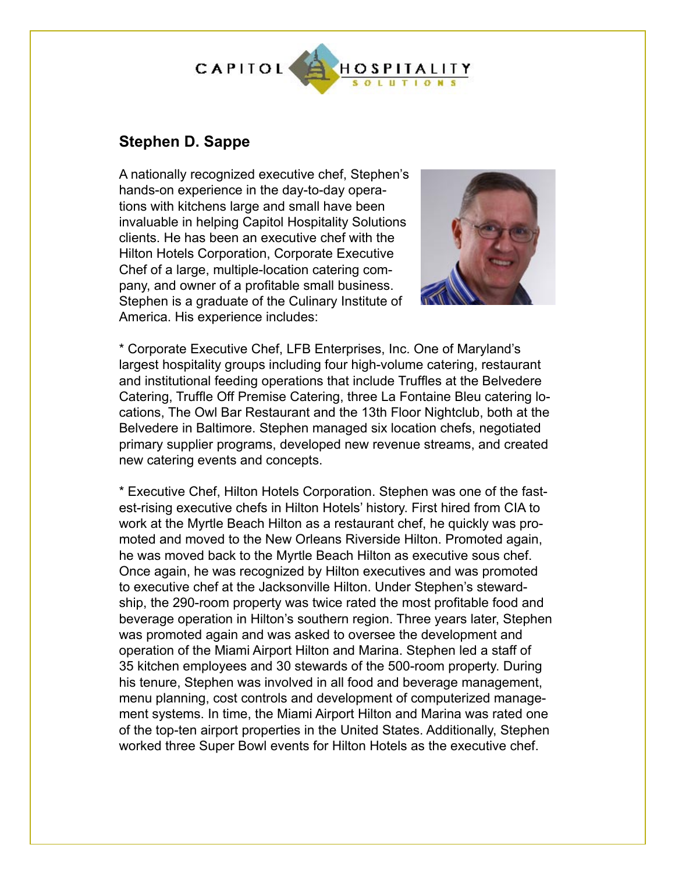

# **Stephen D. Sappe**

A nationally recognized executive chef, Stephen's hands-on experience in the day-to-day operations with kitchens large and small have been invaluable in helping Capitol Hospitality Solutions clients. He has been an executive chef with the Hilton Hotels Corporation, Corporate Executive Chef of a large, multiple-location catering company, and owner of a profitable small business. Stephen is a graduate of the Culinary Institute of America. His experience includes:



\* Corporate Executive Chef, LFB Enterprises, Inc. One of Maryland's largest hospitality groups including four high-volume catering, restaurant and institutional feeding operations that include Truffles at the Belvedere Catering, Truffle Off Premise Catering, three La Fontaine Bleu catering locations, The Owl Bar Restaurant and the 13th Floor Nightclub, both at the Belvedere in Baltimore. Stephen managed six location chefs, negotiated primary supplier programs, developed new revenue streams, and created new catering events and concepts.

\* Executive Chef, Hilton Hotels Corporation. Stephen was one of the fastest-rising executive chefs in Hilton Hotels' history. First hired from CIA to work at the Myrtle Beach Hilton as a restaurant chef, he quickly was promoted and moved to the New Orleans Riverside Hilton. Promoted again, he was moved back to the Myrtle Beach Hilton as executive sous chef. Once again, he was recognized by Hilton executives and was promoted to executive chef at the Jacksonville Hilton. Under Stephen's stewardship, the 290-room property was twice rated the most profitable food and beverage operation in Hilton's southern region. Three years later, Stephen was promoted again and was asked to oversee the development and operation of the Miami Airport Hilton and Marina. Stephen led a staff of 35 kitchen employees and 30 stewards of the 500-room property. During his tenure, Stephen was involved in all food and beverage management, menu planning, cost controls and development of computerized management systems. In time, the Miami Airport Hilton and Marina was rated one of the top-ten airport properties in the United States. Additionally, Stephen worked three Super Bowl events for Hilton Hotels as the executive chef.